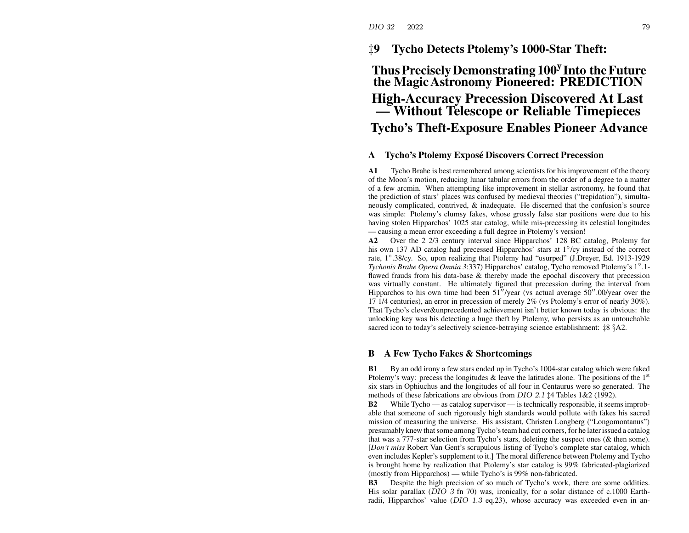## ‡**9 Tycho Detects Ptolemy's 1000-Star Theft:**

# **ThusPreciselyDemonstrating 100<sup>y</sup> Into theFuture the MagicAstronomy Pioneered: PREDICTION High-Accuracy Precession Discovered At Last — Without Telescope or Reliable Timepieces Tycho's Theft-Exposure Enables Pioneer Advance**

### **ATycho's Ptolemy Expose´ Discovers Correct Precession**

**A1** Tycho Brahe is best remembered among scientists for his improvement of the theory of the Moon's motion, reducing lunar tabular errors from the order of <sup>a</sup> degree to <sup>a</sup> matter of a few arcmin. When attempting like improvement in stellar astronomy, he found that the prediction of stars' places was confused by medieval theories ("trepidation"), simultaneously complicated, contrived, & inadequate. He discerned that the confusion's source was simple: Ptolemy's clumsy fakes, whose grossly false star positions were due to his having stolen Hipparchos' 1025 star catalog, while mis-precessing its celestial longitudes — causing <sup>a</sup> mean error exceeding <sup>a</sup> full degree in Ptolemy's version!

**A2** Over the 2 2/3 century interval since Hipparchos' 128 BC catalog, Ptolemy for his own 137 AD catalog had precessed Hipparchos' stars at 1◦/cy instead of the correct rate, 1◦.38/cy. So, upon realizing that Ptolemy had "usurped" (J.Dreyer, Ed. 1913-1929 *Tychonis Brahe Opera Omnia 3*:337) Hipparchos' catalog, Tycho removed Ptolemy's 1◦.1 flawed frauds from his data-base & thereby made the epochal discovery that precession was virtually constant. He ultimately figured that precession during the interval from Hipparchos to his own time had been  $51''$ /year (vs actual average  $50''$ .00/year over the 17 1/4 centuries), an error in precession of merely 2% (vs Ptolemy's error of nearly 30%). That Tycho's clever&unprecedented achievement isn't better known today is obvious: the unlocking key was his detecting <sup>a</sup> huge theft by Ptolemy, who persists as an untouchable sacred icon to today's selectively science-betraying science establishment: ‡8 §A2.

#### **BA Few Tycho Fakes & Shortcomings**

**B1** By an odd irony <sup>a</sup> few stars ended up in Tycho's 1004-star catalog which were faked Ptolemy's way: precess the longitudes  $\&$  leave the latitudes alone. The positions of the  $1<sup>st</sup>$ six stars in Ophiuchus and the longitudes of all four in Centaurus were so generated. The methods of these fabrications are obvious from DIO 2.1 ‡4 Tables 1&2 (1992).

**B2** While Tycho — as catalog supervisor — is technically responsible, it seems improbable that someone of such rigorously high standards would pollute with fakes his sacred mission of measuring the universe. His assistant, Christen Longberg ("Longomontanus") presumably knew thatsome among Tycho'steam had cut corners, for he laterissued <sup>a</sup> catalog that was a 777-star selection from Tycho's stars, deleting the suspec<sup>t</sup> ones (& then some). [*Don't miss* Robert Van Gent's scrupulous listing of Tycho's complete star catalog, which even includes Kepler's supplement to it.] The moral difference between Ptolemy and Tycho is brought home by realization that Ptolemy's star catalog is 99% fabricated-plagiarized (mostly from Hipparchos) — while Tycho's is 99% non-fabricated.

**B3** Despite the high precision of so much of Tycho's work, there are some oddities. His solar parallax (DIO 3 fn 70) was, ironically, for <sup>a</sup> solar distance of c.1000 Earthradii, Hipparchos' value (DIO 1.3 eq.23), whose accuracy was exceeded even in an